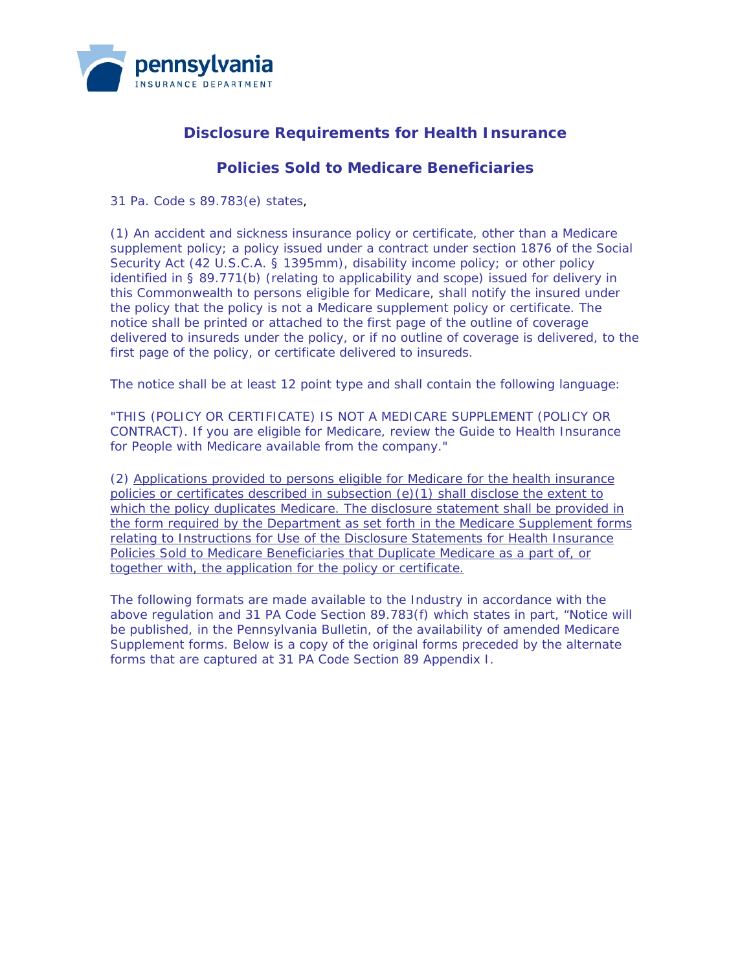

# **Disclosure Requirements for Health Insurance**

# **Policies Sold to Medicare Beneficiaries**

31 Pa. Code s 89.783(e) states,

(1) An accident and sickness insurance policy or certificate, other than a Medicare supplement policy; a policy issued under a contract under section 1876 of the Social Security Act (42 U.S.C.A. § 1395mm), disability income policy; or other policy identified in § 89.771(b) (relating to applicability and scope) issued for delivery in this Commonwealth to persons eligible for Medicare, shall notify the insured under the policy that the policy is not a Medicare supplement policy or certificate. The notice shall be printed or attached to the first page of the outline of coverage delivered to insureds under the policy, or if no outline of coverage is delivered, to the first page of the policy, or certificate delivered to insureds.

The notice shall be at least 12 point type and shall contain the following language:

"THIS (POLICY OR CERTIFICATE) IS NOT A MEDICARE SUPPLEMENT (POLICY OR CONTRACT). If you are eligible for Medicare, review the Guide to Health Insurance for People with Medicare available from the company."

(2) Applications provided to persons eligible for Medicare for the health insurance policies or certificates described in subsection (e)(1) shall disclose the extent to which the policy duplicates Medicare. The disclosure statement shall be provided in the form required by the Department as set forth in the Medicare Supplement forms relating to Instructions for Use of the Disclosure Statements for Health Insurance Policies Sold to Medicare Beneficiaries that Duplicate Medicare as a part of, or together with, the application for the policy or certificate.

The following formats are made available to the Industry in accordance with the above regulation and 31 PA Code Section 89.783(f) which states in part, "Notice will be published, in the *Pennsylvania Bulletin*, of the availability of amended Medicare Supplement forms. Below is a copy of the original forms preceded by the alternate forms that are captured at 31 PA Code Section 89 Appendix I.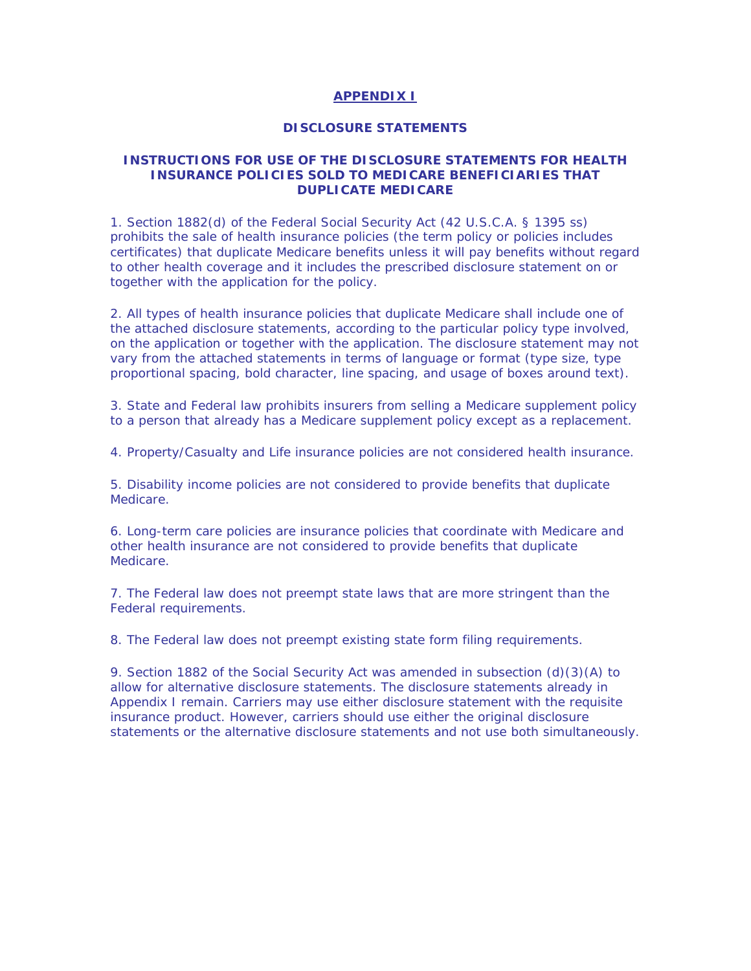### **APPENDIX I**

### **DISCLOSURE STATEMENTS**

## **INSTRUCTIONS FOR USE OF THE DISCLOSURE STATEMENTS FOR HEALTH INSURANCE POLICIES SOLD TO MEDICARE BENEFICIARIES THAT DUPLICATE MEDICARE**

1. Section 1882(d) of the Federal Social Security Act (42 U.S.C.A. § 1395 ss) prohibits the sale of health insurance policies (the term policy or policies includes certificates) that duplicate Medicare benefits unless it will pay benefits without regard to other health coverage and it includes the prescribed disclosure statement on or together with the application for the policy.

2. All types of health insurance policies that duplicate Medicare shall include one of the attached disclosure statements, according to the particular policy type involved, on the application or together with the application. The disclosure statement may not vary from the attached statements in terms of language or format (type size, type proportional spacing, bold character, line spacing, and usage of boxes around text).

3. State and Federal law prohibits insurers from selling a Medicare supplement policy to a person that already has a Medicare supplement policy except as a replacement.

4. Property/Casualty and Life insurance policies are not considered health insurance.

5. Disability income policies are not considered to provide benefits that duplicate Medicare.

6. Long-term care policies are insurance policies that coordinate with Medicare and other health insurance are not considered to provide benefits that duplicate Medicare.

7. The Federal law does not preempt state laws that are more stringent than the Federal requirements.

8. The Federal law does not preempt existing state form filing requirements.

9. Section 1882 of the Social Security Act was amended in subsection (d)(3)(A) to allow for alternative disclosure statements. The disclosure statements already in Appendix I remain. Carriers may use either disclosure statement with the requisite insurance product. However, carriers should use either the original disclosure statements or the alternative disclosure statements and not use both simultaneously.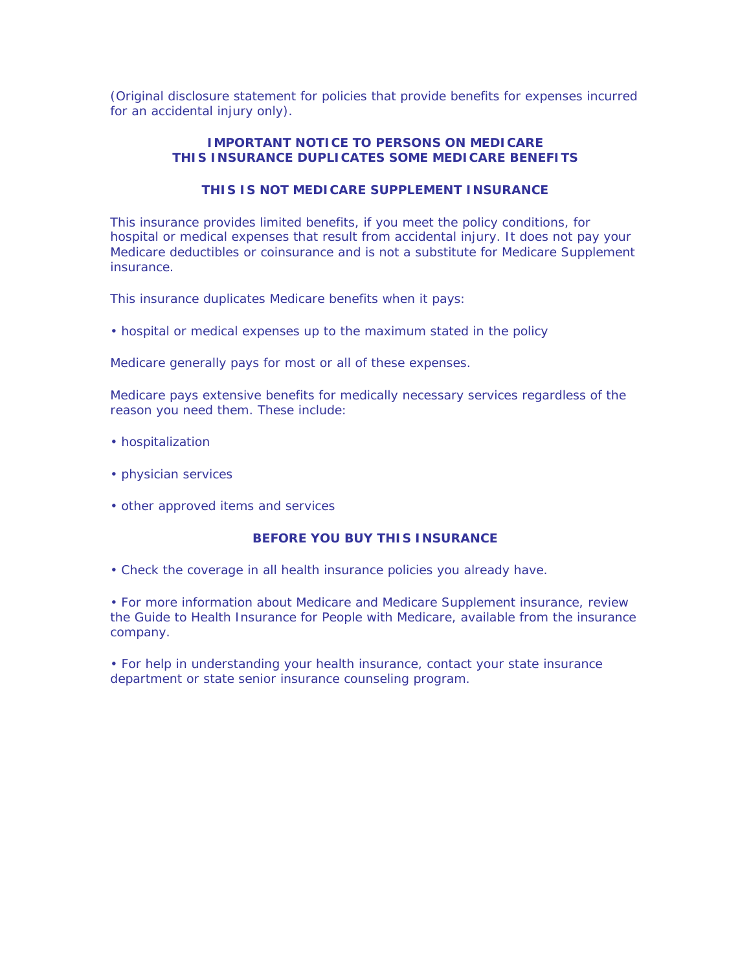(Original disclosure statement for policies that provide benefits for expenses incurred for an accidental injury only).

# **IMPORTANT NOTICE TO PERSONS ON MEDICARE THIS INSURANCE DUPLICATES SOME MEDICARE BENEFITS**

# **THIS IS NOT MEDICARE SUPPLEMENT INSURANCE**

This insurance provides limited benefits, if you meet the policy conditions, for hospital or medical expenses that result from accidental injury. It does not pay your Medicare deductibles or coinsurance and is not a substitute for Medicare Supplement insurance.

*This insurance duplicates Medicare benefits when it pays:*

• hospital or medical expenses up to the maximum stated in the policy

*Medicare generally pays for most or all of these expenses.*

*Medicare pays extensive benefits for medically necessary services regardless of the reason you need them. These include:*

- hospitalization
- physician services
- other approved items and services

#### **BEFORE YOU BUY THIS INSURANCE**

• Check the coverage in *all* health insurance policies you already have.

• For more information about Medicare and Medicare Supplement insurance, review the *Guide to Health Insurance for People with Medicare,* available from the insurance company.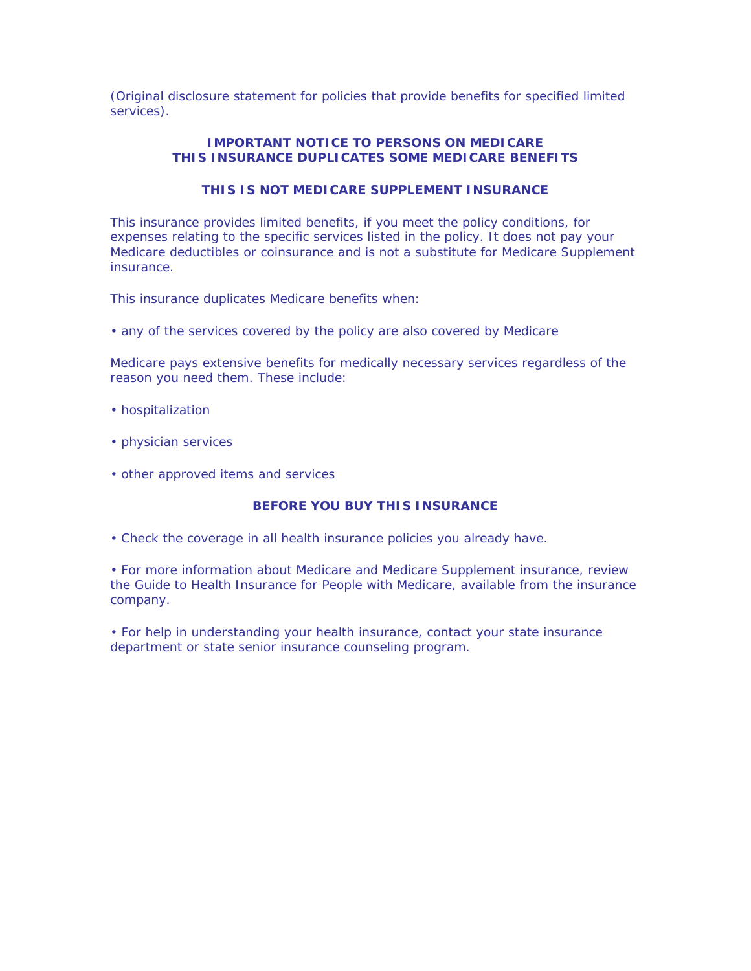(Original disclosure statement for policies that provide benefits for specified limited services).

# **IMPORTANT NOTICE TO PERSONS ON MEDICARE THIS INSURANCE DUPLICATES SOME MEDICARE BENEFITS**

# **THIS IS NOT MEDICARE SUPPLEMENT INSURANCE**

This insurance provides limited benefits, if you meet the policy conditions, for expenses relating to the specific services listed in the policy. It does not pay your Medicare deductibles or coinsurance and is not a substitute for Medicare Supplement insurance.

*This insurance duplicates Medicare benefits when:*

• any of the services covered by the policy are also covered by Medicare

*Medicare pays extensive benefits for medically necessary services regardless of the reason you need them. These include:*

- hospitalization
- physician services
- other approved items and services

## **BEFORE YOU BUY THIS INSURANCE**

• Check the coverage in *all* health insurance policies you already have.

• For more information about Medicare and Medicare Supplement insurance, review the *Guide to Health Insurance for People with Medicare,* available from the insurance company.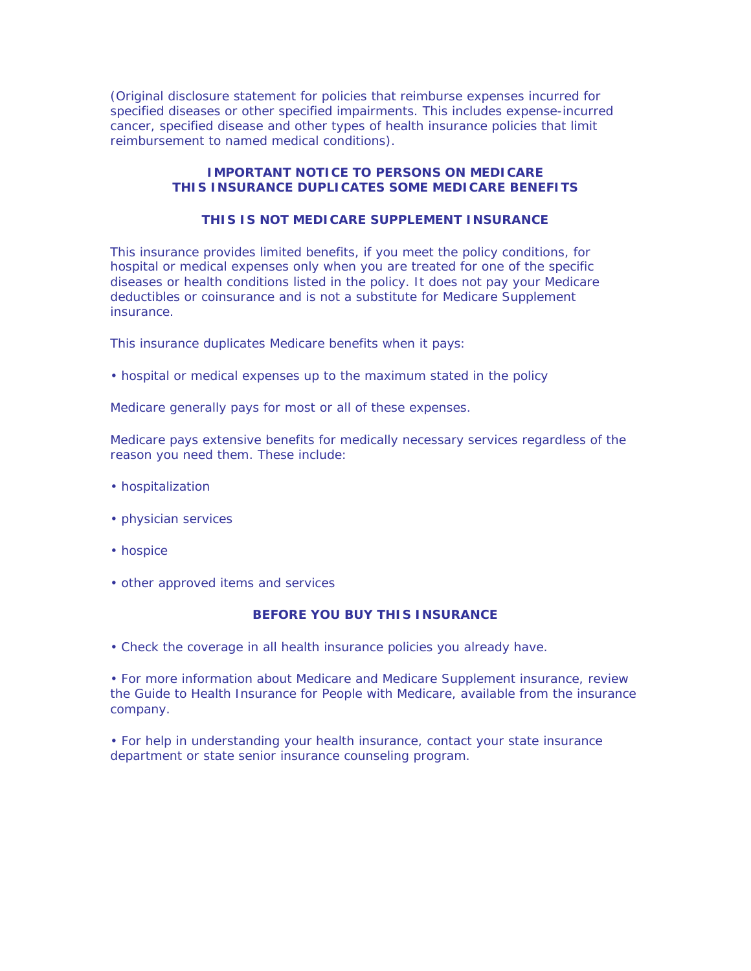(Original disclosure statement for policies that reimburse expenses incurred for specified diseases or other specified impairments. This includes expense-incurred cancer, specified disease and other types of health insurance policies that limit reimbursement to named medical conditions).

### **IMPORTANT NOTICE TO PERSONS ON MEDICARE THIS INSURANCE DUPLICATES SOME MEDICARE BENEFITS**

### **THIS IS NOT MEDICARE SUPPLEMENT INSURANCE**

This insurance provides limited benefits, if you meet the policy conditions, for hospital or medical expenses only when you are treated for one of the specific diseases or health conditions listed in the policy. It does not pay your Medicare deductibles or coinsurance and is not a substitute for Medicare Supplement insurance.

*This insurance duplicates Medicare benefits when it pays:*

• hospital or medical expenses up to the maximum stated in the policy

*Medicare generally pays for most or all of these expenses.*

*Medicare pays extensive benefits for medically necessary services regardless of the reason you need them. These include:*

- hospitalization
- physician services
- hospice
- other approved items and services

#### **BEFORE YOU BUY THIS INSURANCE**

• Check the coverage in *all* health insurance policies you already have.

• For more information about Medicare and Medicare Supplement insurance, review the *Guide to Health Insurance for People with Medicare,* available from the insurance company.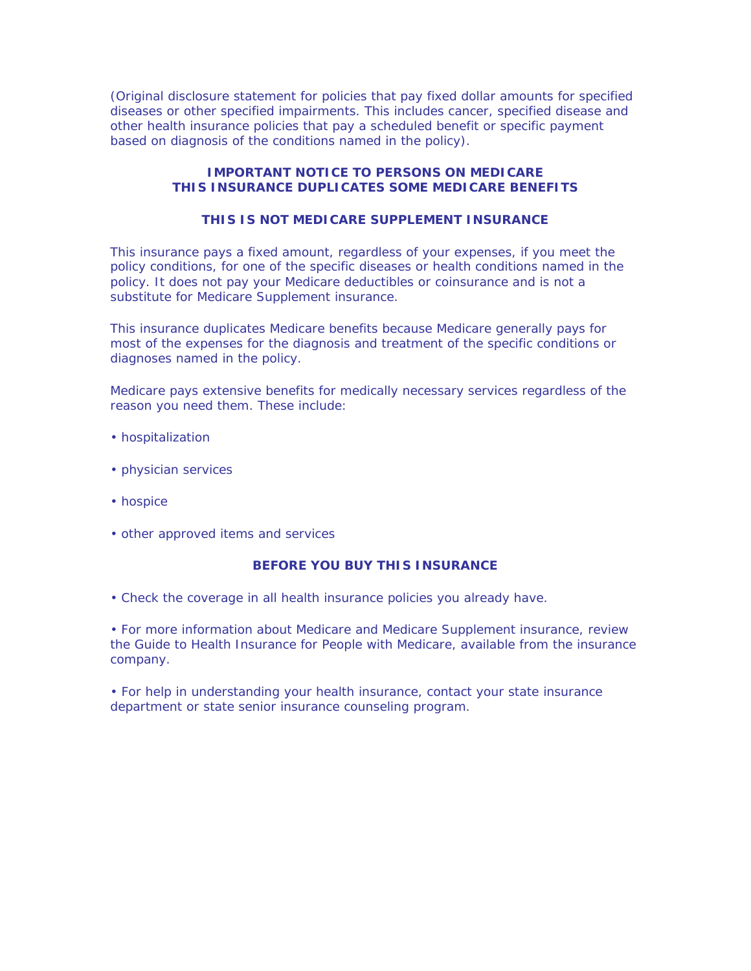(Original disclosure statement for policies that pay fixed dollar amounts for specified diseases or other specified impairments. This includes cancer, specified disease and other health insurance policies that pay a scheduled benefit or specific payment based on diagnosis of the conditions named in the policy).

### **IMPORTANT NOTICE TO PERSONS ON MEDICARE THIS INSURANCE DUPLICATES SOME MEDICARE BENEFITS**

# **THIS IS NOT MEDICARE SUPPLEMENT INSURANCE**

This insurance pays a fixed amount, regardless of your expenses, if you meet the policy conditions, for one of the specific diseases or health conditions named in the policy. It does not pay your Medicare deductibles or coinsurance and is not a substitute for Medicare Supplement insurance.

*This insurance duplicates Medicare benefits because Medicare generally pays for most of the expenses for the diagnosis and treatment of the specific conditions or diagnoses named in the policy.*

*Medicare pays extensive benefits for medically necessary services regardless of the reason you need them. These include:*

- hospitalization
- physician services
- hospice
- other approved items and services

### **BEFORE YOU BUY THIS INSURANCE**

• Check the coverage in *all* health insurance policies you already have.

• For more information about Medicare and Medicare Supplement insurance, review the *Guide to Health Insurance for People with Medicare,* available from the insurance company.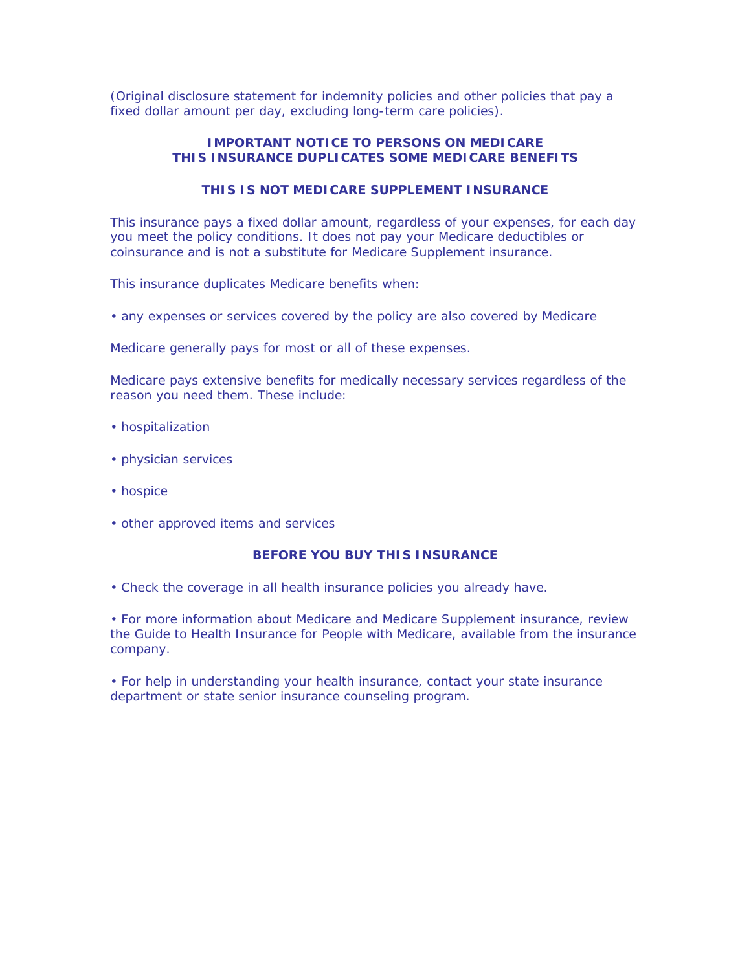(Original disclosure statement for indemnity policies and other policies that pay a fixed dollar amount per day, excluding long-term care policies).

## **IMPORTANT NOTICE TO PERSONS ON MEDICARE THIS INSURANCE DUPLICATES SOME MEDICARE BENEFITS**

# **THIS IS NOT MEDICARE SUPPLEMENT INSURANCE**

This insurance pays a fixed dollar amount, regardless of your expenses, for each day you meet the policy conditions. It does not pay your Medicare deductibles or coinsurance and is not a substitute for Medicare Supplement insurance.

*This insurance duplicates Medicare benefits when:*

• any expenses or services covered by the policy are also covered by Medicare

*Medicare generally pays for most or all of these expenses.*

*Medicare pays extensive benefits for medically necessary services regardless of the reason you need them. These include:*

- hospitalization
- physician services
- hospice
- other approved items and services

### **BEFORE YOU BUY THIS INSURANCE**

• Check the coverage in *all* health insurance policies you already have.

• For more information about Medicare and Medicare Supplement insurance, review the *Guide to Health Insurance for People with Medicare,* available from the insurance company.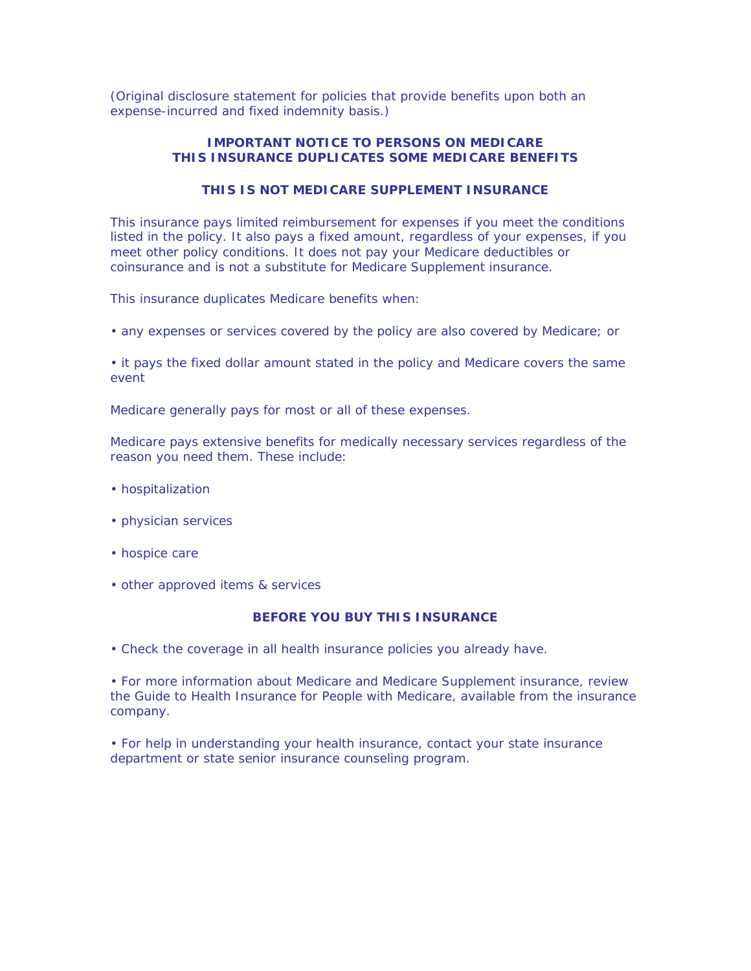(Original disclosure statement for policies that provide benefits upon both an expense-incurred and fixed indemnity basis.)

# **IMPORTANT NOTICE TO PERSONS ON MEDICARE THIS INSURANCE DUPLICATES SOME MEDICARE BENEFITS**

# **THIS IS NOT MEDICARE SUPPLEMENT INSURANCE**

This insurance pays limited reimbursement for expenses if you meet the conditions listed in the policy. It also pays a fixed amount, regardless of your expenses, if you meet other policy conditions. It does not pay your Medicare deductibles or coinsurance and is not a substitute for Medicare Supplement insurance.

### *This insurance duplicates Medicare benefits when:*

• any expenses or services covered by the policy are also covered by Medicare; or

• it pays the fixed dollar amount stated in the policy and Medicare covers the same event

*Medicare generally pays for most or all of these expenses.*

*Medicare pays extensive benefits for medically necessary services regardless of the reason you need them. These include:*

- hospitalization
- physician services
- hospice care
- other approved items & services

### **BEFORE YOU BUY THIS INSURANCE**

• Check the coverage in *all* health insurance policies you already have.

• For more information about Medicare and Medicare Supplement insurance, review the *Guide to Health Insurance for People with Medicare,* available from the insurance company.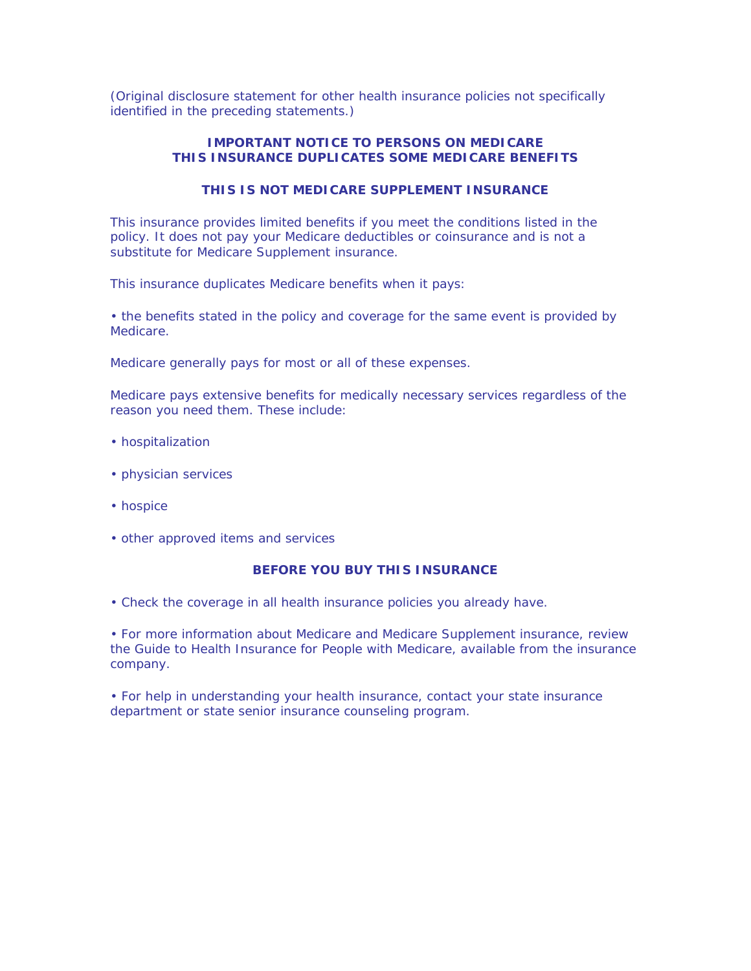(Original disclosure statement for other health insurance policies not specifically identified in the preceding statements.)

# **IMPORTANT NOTICE TO PERSONS ON MEDICARE THIS INSURANCE DUPLICATES SOME MEDICARE BENEFITS**

# **THIS IS NOT MEDICARE SUPPLEMENT INSURANCE**

This insurance provides limited benefits if you meet the conditions listed in the policy. It does not pay your Medicare deductibles or coinsurance and is not a substitute for Medicare Supplement insurance.

*This insurance duplicates Medicare benefits when it pays:*

• the benefits stated in the policy and coverage for the same event is provided by Medicare.

*Medicare generally pays for most or all of these expenses.*

Medicare pays extensive benefits for medically necessary services regardless of the reason you need them. These include:

- hospitalization
- physician services
- hospice
- other approved items and services

#### **BEFORE YOU BUY THIS INSURANCE**

• Check the coverage in *all* health insurance policies you already have.

• For more information about Medicare and Medicare Supplement insurance, review the *Guide to Health Insurance for People with Medicare,* available from the insurance company.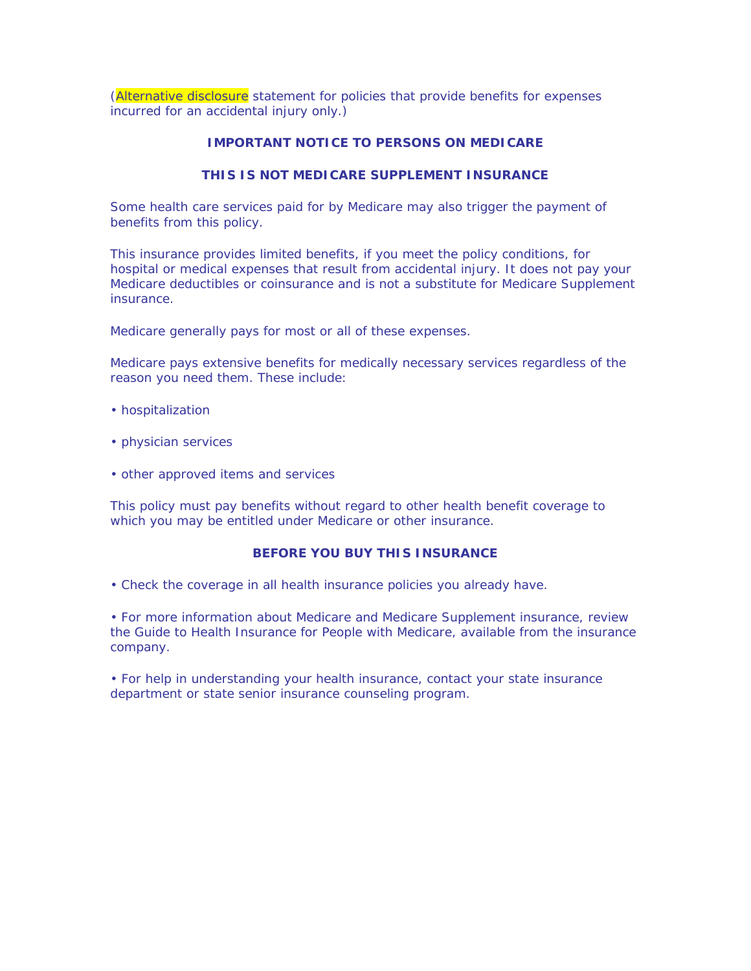(Alternative disclosure statement for policies that provide benefits for expenses incurred for an accidental injury only.)

# **IMPORTANT NOTICE TO PERSONS ON MEDICARE**

### **THIS IS NOT MEDICARE SUPPLEMENT INSURANCE**

*Some health care services paid for by Medicare may also trigger the payment of benefits from this policy.*

This insurance provides limited benefits, if you meet the policy conditions, for hospital or medical expenses that result from accidental injury. It does not pay your Medicare deductibles or coinsurance and is not a substitute for Medicare Supplement insurance.

*Medicare generally pays for most or all of these expenses.*

*Medicare pays extensive benefits for medically necessary services regardless of the reason you need them. These include:*

- hospitalization
- physician services
- other approved items and services

*This policy must pay benefits without regard to other health benefit coverage to which you may be entitled under Medicare or other insurance.*

## **BEFORE YOU BUY THIS INSURANCE**

• Check the coverage in *all* health insurance policies you already have.

• For more information about Medicare and Medicare Supplement insurance, review the *Guide to Health Insurance for People with Medicare,* available from the insurance company.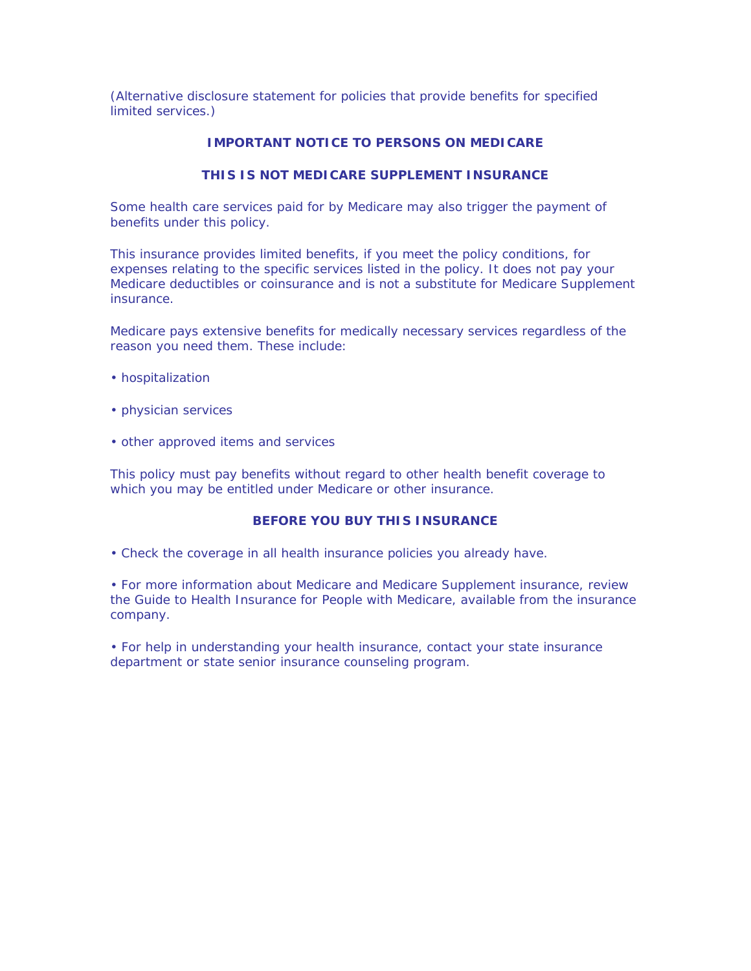(Alternative disclosure statement for policies that provide benefits for specified limited services.)

### **IMPORTANT NOTICE TO PERSONS ON MEDICARE**

### **THIS IS NOT MEDICARE SUPPLEMENT INSURANCE**

*Some health care services paid for by Medicare may also trigger the payment of benefits under this policy.*

This insurance provides limited benefits, if you meet the policy conditions, for expenses relating to the specific services listed in the policy. It does not pay your Medicare deductibles or coinsurance and is not a substitute for Medicare Supplement insurance.

*Medicare pays extensive benefits for medically necessary services regardless of the reason you need them. These include:*

- hospitalization
- physician services
- other approved items and services

*This policy must pay benefits without regard to other health benefit coverage to which you may be entitled under Medicare or other insurance.*

#### **BEFORE YOU BUY THIS INSURANCE**

• Check the coverage in *all* health insurance policies you already have.

• For more information about Medicare and Medicare Supplement insurance, review the *Guide to Health Insurance for People with Medicare,* available from the insurance company.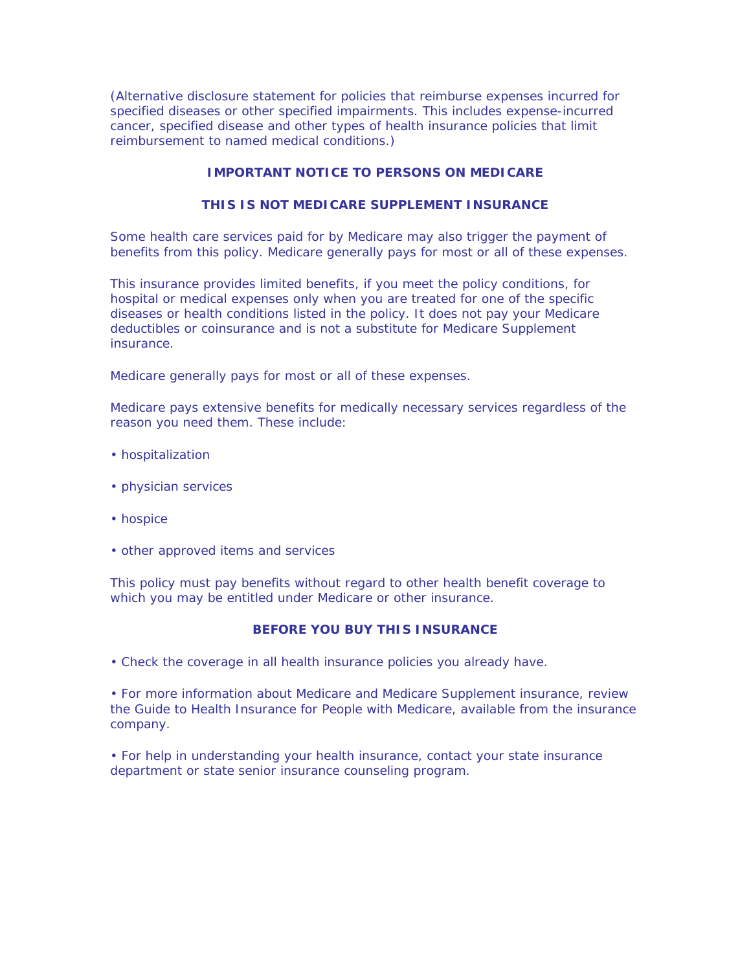(Alternative disclosure statement for policies that reimburse expenses incurred for specified diseases or other specified impairments. This includes expense-incurred cancer, specified disease and other types of health insurance policies that limit reimbursement to named medical conditions.)

# **IMPORTANT NOTICE TO PERSONS ON MEDICARE**

# **THIS IS NOT MEDICARE SUPPLEMENT INSURANCE**

*Some health care services paid for by Medicare may also trigger the payment of benefits from this policy. Medicare generally pays for most or all of these expenses.*

This insurance provides limited benefits, if you meet the policy conditions, for hospital or medical expenses only when you are treated for one of the specific diseases or health conditions listed in the policy. It does not pay your Medicare deductibles or coinsurance and is not a substitute for Medicare Supplement insurance.

*Medicare generally pays for most or all of these expenses.*

*Medicare pays extensive benefits for medically necessary services regardless of the reason you need them. These include:*

- hospitalization
- physician services
- hospice
- other approved items and services

*This policy must pay benefits without regard to other health benefit coverage to which you may be entitled under Medicare or other insurance.*

## **BEFORE YOU BUY THIS INSURANCE**

• Check the coverage in *all* health insurance policies you already have.

• For more information about Medicare and Medicare Supplement insurance, review the *Guide to Health Insurance for People with Medicare,* available from the insurance company.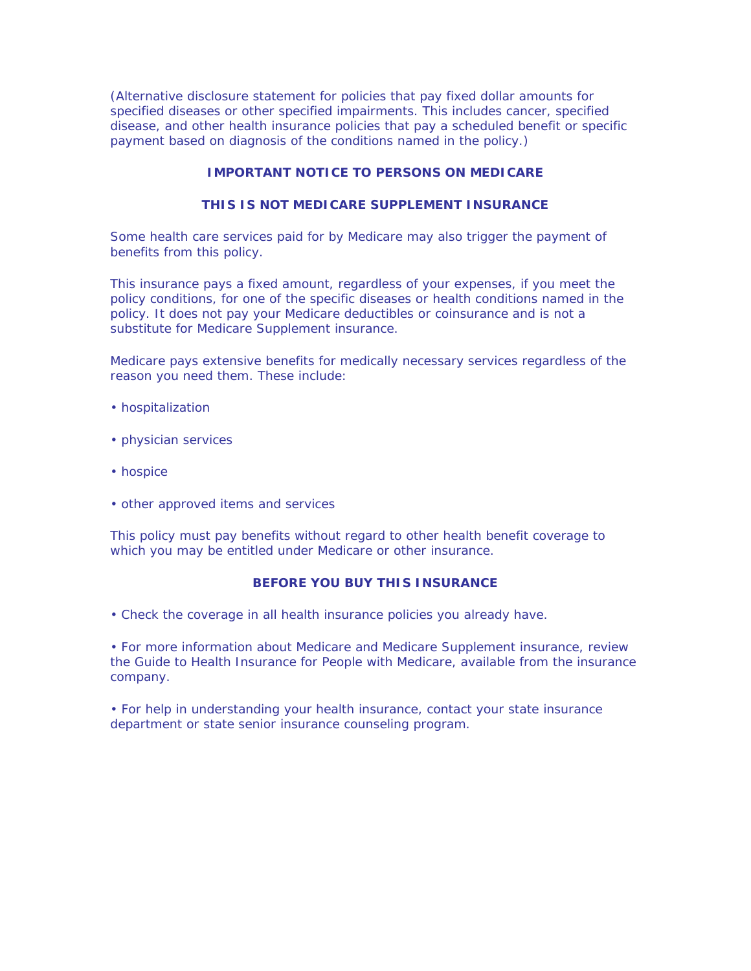(Alternative disclosure statement for policies that pay fixed dollar amounts for specified diseases or other specified impairments. This includes cancer, specified disease, and other health insurance policies that pay a scheduled benefit or specific payment based on diagnosis of the conditions named in the policy.)

# **IMPORTANT NOTICE TO PERSONS ON MEDICARE**

## **THIS IS NOT MEDICARE SUPPLEMENT INSURANCE**

*Some health care services paid for by Medicare may also trigger the payment of benefits from this policy.*

This insurance pays a fixed amount, regardless of your expenses, if you meet the policy conditions, for one of the specific diseases or health conditions named in the policy. It does not pay your Medicare deductibles or coinsurance and is not a substitute for Medicare Supplement insurance.

*Medicare pays extensive benefits for medically necessary services regardless of the reason you need them. These include:*

- hospitalization
- physician services
- hospice
- other approved items and services

*This policy must pay benefits without regard to other health benefit coverage to which you may be entitled under Medicare or other insurance.*

## **BEFORE YOU BUY THIS INSURANCE**

• Check the coverage in *all* health insurance policies you already have.

• For more information about Medicare and Medicare Supplement insurance, review the *Guide to Health Insurance for People with Medicare,* available from the insurance company.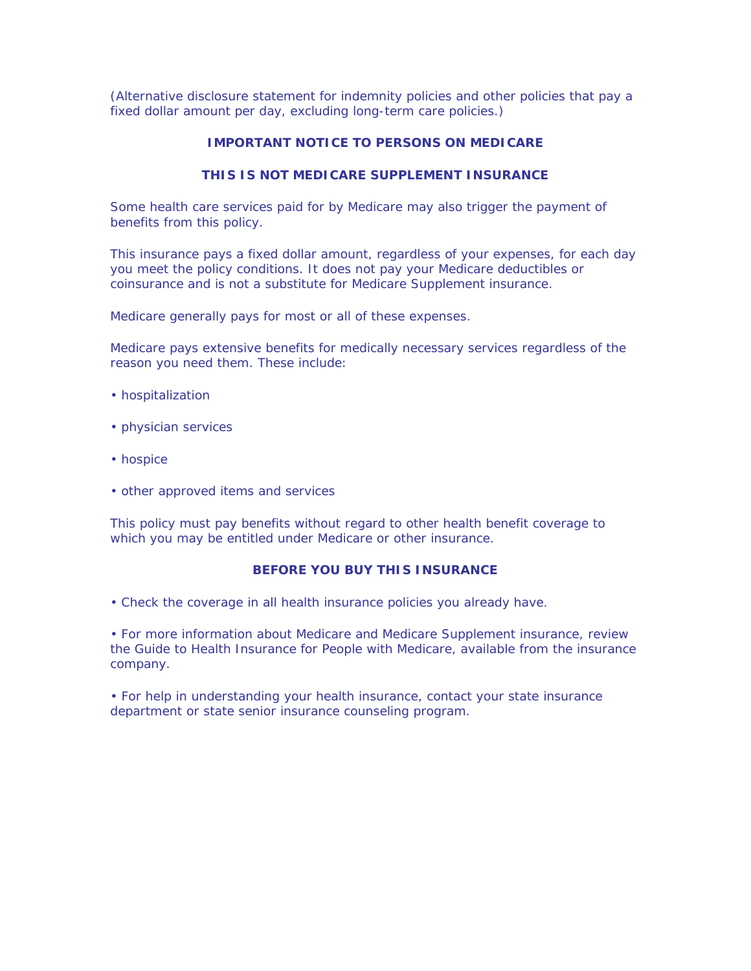(Alternative disclosure statement for indemnity policies and other policies that pay a fixed dollar amount per day, excluding long-term care policies.)

### **IMPORTANT NOTICE TO PERSONS ON MEDICARE**

### **THIS IS NOT MEDICARE SUPPLEMENT INSURANCE**

*Some health care services paid for by Medicare may also trigger the payment of benefits from this policy.*

This insurance pays a fixed dollar amount, regardless of your expenses, for each day you meet the policy conditions. It does not pay your Medicare deductibles or coinsurance and is not a substitute for Medicare Supplement insurance.

*Medicare generally pays for most or all of these expenses.*

*Medicare pays extensive benefits for medically necessary services regardless of the reason you need them. These include:*

- hospitalization
- physician services
- hospice
- other approved items and services

*This policy must pay benefits without regard to other health benefit coverage to which you may be entitled under Medicare or other insurance.*

### **BEFORE YOU BUY THIS INSURANCE**

• Check the coverage in *all* health insurance policies you already have.

• For more information about Medicare and Medicare Supplement insurance, review the *Guide to Health Insurance for People with Medicare,* available from the insurance company.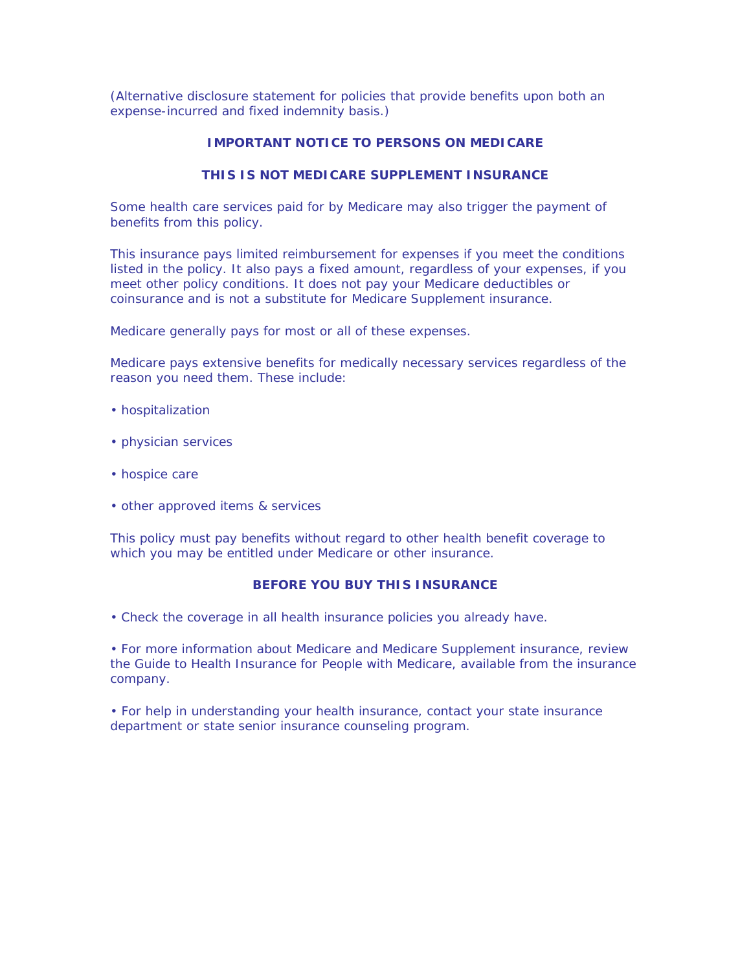(Alternative disclosure statement for policies that provide benefits upon both an expense-incurred and fixed indemnity basis.)

# **IMPORTANT NOTICE TO PERSONS ON MEDICARE**

# **THIS IS NOT MEDICARE SUPPLEMENT INSURANCE**

*Some health care services paid for by Medicare may also trigger the payment of benefits from this policy.*

This insurance pays limited reimbursement for expenses if you meet the conditions listed in the policy. It also pays a fixed amount, regardless of your expenses, if you meet other policy conditions. It does not pay your Medicare deductibles or coinsurance and is not a substitute for Medicare Supplement insurance.

*Medicare generally pays for most or all of these expenses.*

*Medicare pays extensive benefits for medically necessary services regardless of the reason you need them. These include:*

- hospitalization
- physician services
- hospice care
- other approved items & services

*This policy must pay benefits without regard to other health benefit coverage to which you may be entitled under Medicare or other insurance.*

#### **BEFORE YOU BUY THIS INSURANCE**

• Check the coverage in *all* health insurance policies you already have.

• For more information about Medicare and Medicare Supplement insurance, review the *Guide to Health Insurance for People with Medicare,* available from the insurance company.